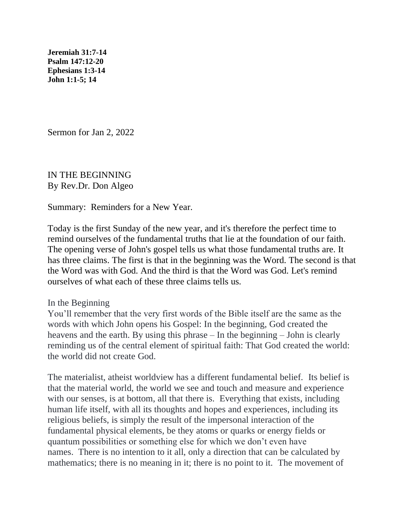**[Jeremiah 31:7-14](https://lectionary.library.vanderbilt.edu/texts.php?id=105#hebrew_reading) [Psalm 147:12-20](https://lectionary.library.vanderbilt.edu/texts.php?id=105#psalm_reading) [Ephesians 1:3-14](https://lectionary.library.vanderbilt.edu/texts.php?id=105#epistle_reading)  John 1:1-5; 14**

Sermon for Jan 2, 2022

IN THE BEGINNING By Rev.Dr. Don Algeo

Summary: Reminders for a New Year.

Today is the first Sunday of the new year, and it's therefore the perfect time to remind ourselves of the fundamental truths that lie at the foundation of our faith. The opening verse of John's gospel tells us what those fundamental truths are. It has three claims. The first is that in the beginning was the Word. The second is that the Word was with God. And the third is that the Word was God. Let's remind ourselves of what each of these three claims tells us.

## In the Beginning

You'll remember that the very first words of the Bible itself are the same as the words with which John opens his Gospel: In the beginning, God created the heavens and the earth. By using this phrase – In the beginning – John is clearly reminding us of the central element of spiritual faith: That God created the world: the world did not create God.

The materialist, atheist worldview has a different fundamental belief. Its belief is that the material world, the world we see and touch and measure and experience with our senses, is at bottom, all that there is. Everything that exists, including human life itself, with all its thoughts and hopes and experiences, including its religious beliefs, is simply the result of the impersonal interaction of the fundamental physical elements, be they atoms or quarks or energy fields or quantum possibilities or something else for which we don't even have names. There is no intention to it all, only a direction that can be calculated by mathematics; there is no meaning in it; there is no point to it. The movement of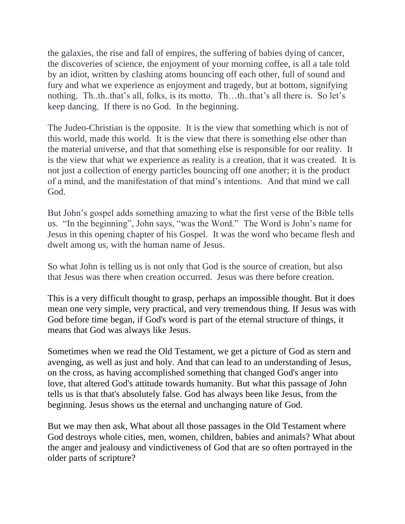the galaxies, the rise and fall of empires, the suffering of babies dying of cancer, the discoveries of science, the enjoyment of your morning coffee, is all a tale told by an idiot, written by clashing atoms bouncing off each other, full of sound and fury and what we experience as enjoyment and tragedy, but at bottom, signifying nothing. Th..th..that's all, folks, is its motto. Th…th..that's all there is. So let's keep dancing. If there is no God. In the beginning.

The Judeo-Christian is the opposite. It is the view that something which is not of this world, made this world. It is the view that there is something else other than the material universe, and that that something else is responsible for our reality. It is the view that what we experience as reality is a creation, that it was created. It is not just a collection of energy particles bouncing off one another; it is the product of a mind, and the manifestation of that mind's intentions. And that mind we call God.

But John's gospel adds something amazing to what the first verse of the Bible tells us. "In the beginning", John says, "was the Word." The Word is John's name for Jesus in this opening chapter of his Gospel. It was the word who became flesh and dwelt among us, with the human name of Jesus.

So what John is telling us is not only that God is the source of creation, but also that Jesus was there when creation occurred. Jesus was there before creation.

This is a very difficult thought to grasp, perhaps an impossible thought. But it does mean one very simple, very practical, and very tremendous thing. If Jesus was with God before time began, if God's word is part of the eternal structure of things, it means that God was always like Jesus.

Sometimes when we read the Old Testament, we get a picture of God as stern and avenging, as well as just and holy. And that can lead to an understanding of Jesus, on the cross, as having accomplished something that changed God's anger into love, that altered God's attitude towards humanity. But what this passage of John tells us is that that's absolutely false. God has always been like Jesus, from the beginning. Jesus shows us the eternal and unchanging nature of God.

But we may then ask, What about all those passages in the Old Testament where God destroys whole cities, men, women, children, babies and animals? What about the anger and jealousy and vindictiveness of God that are so often portrayed in the older parts of scripture?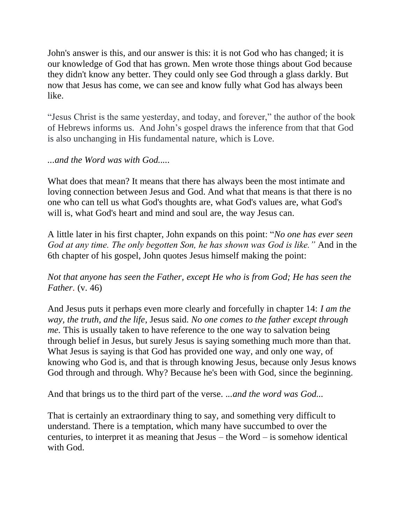John's answer is this, and our answer is this: it is not God who has changed; it is our knowledge of God that has grown. Men wrote those things about God because they didn't know any better. They could only see God through a glass darkly. But now that Jesus has come, we can see and know fully what God has always been like.

"Jesus Christ is the same yesterday, and today, and forever," the author of the book of Hebrews informs us. And John's gospel draws the inference from that that God is also unchanging in His fundamental nature, which is Love.

*...and the Word was with God.....*

What does that mean? It means that there has always been the most intimate and loving connection between Jesus and God. And what that means is that there is no one who can tell us what God's thoughts are, what God's values are, what God's will is, what God's heart and mind and soul are, the way Jesus can.

A little later in his first chapter, John expands on this point: "*No one has ever seen God at any time. The only begotten Son, he has shown was God is like."* And in the 6th chapter of his gospel, John quotes Jesus himself making the point:

*Not that anyone has seen the Father, except He who is from God; He has seen the Father.* (v. 46)

And Jesus puts it perhaps even more clearly and forcefully in chapter 14: *I am the way, the truth, and the life*, Jesus said. *No one comes to the father except through me.* This is usually taken to have reference to the one way to salvation being through belief in Jesus, but surely Jesus is saying something much more than that. What Jesus is saying is that God has provided one way, and only one way, of knowing who God is, and that is through knowing Jesus, because only Jesus knows God through and through. Why? Because he's been with God, since the beginning.

And that brings us to the third part of the verse. *...and the word was God...*

That is certainly an extraordinary thing to say, and something very difficult to understand. There is a temptation, which many have succumbed to over the centuries, to interpret it as meaning that Jesus – the Word – is somehow identical with God.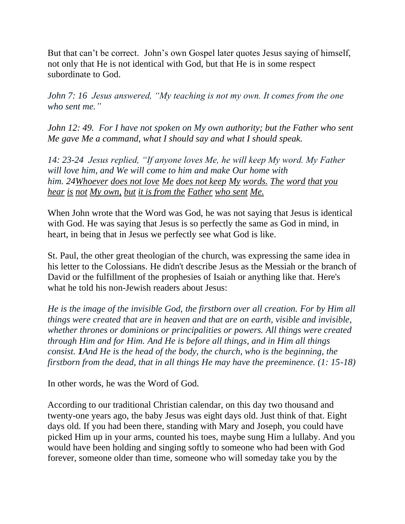But that can't be correct. John's own Gospel later quotes Jesus saying of himself, not only that He is not identical with God, but that He is in some respect subordinate to God.

*John 7: 16 Jesus answered, "My teaching is not my own. It comes from the one who sent me."*

*John 12: 49. For I have not spoken on My own authority; but the Father who sent Me gave Me a command, what I should say and what I should speak.*

*14: 23-24 Jesus replied, "If anyone loves Me, he will keep My word. My Father will love him, and We will come to him and make Our home with him. 2[4Whoever](https://www.biblehub.com/greek/3588.htm) [does not love](https://www.biblehub.com/greek/25.htm) [Me](https://www.biblehub.com/greek/1473.htm) [does not keep](https://www.biblehub.com/greek/5083.htm) [My](https://www.biblehub.com/greek/1473.htm) [words.](https://www.biblehub.com/greek/3056.htm) [The](https://www.biblehub.com/greek/3588.htm) [word](https://www.biblehub.com/greek/3056.htm) [that](https://www.biblehub.com/greek/3739.htm) [you](https://www.biblehub.com/greek/191.htm)  [hear](https://www.biblehub.com/greek/191.htm) [is](https://www.biblehub.com/greek/1510.htm) [not](https://www.biblehub.com/greek/3756.htm) [My own,](https://www.biblehub.com/greek/1699.htm) [but](https://www.biblehub.com/greek/235.htm) [it is from the](https://www.biblehub.com/greek/3588.htm) [Father](https://www.biblehub.com/greek/3962.htm) [who sent](https://www.biblehub.com/greek/3992.htm) [Me.](https://www.biblehub.com/greek/1473.htm)*

When John wrote that the Word was God, he was not saying that Jesus is identical with God. He was saying that Jesus is so perfectly the same as God in mind, in heart, in being that in Jesus we perfectly see what God is like.

St. Paul, the other great theologian of the church, was expressing the same idea in his letter to the Colossians. He didn't describe Jesus as the Messiah or the branch of David or the fulfillment of the prophesies of Isaiah or anything like that. Here's what he told his non-Jewish readers about Jesus:

*He is the image of the invisible God, the firstborn over all creation. For by Him all things were created that are in heaven and that are on earth, visible and invisible, whether thrones or dominions or principalities or powers. All things were created through Him and for Him. And He is before all things, and in Him all things consist. 1And He is the head of the body, the church, who is the beginning, the firstborn from the dead, that in all things He may have the preeminence. (1: 15-18)*

In other words, he was the Word of God.

According to our traditional Christian calendar, on this day two thousand and twenty-one years ago, the baby Jesus was eight days old. Just think of that. Eight days old. If you had been there, standing with Mary and Joseph, you could have picked Him up in your arms, counted his toes, maybe sung Him a lullaby. And you would have been holding and singing softly to someone who had been with God forever, someone older than time, someone who will someday take you by the